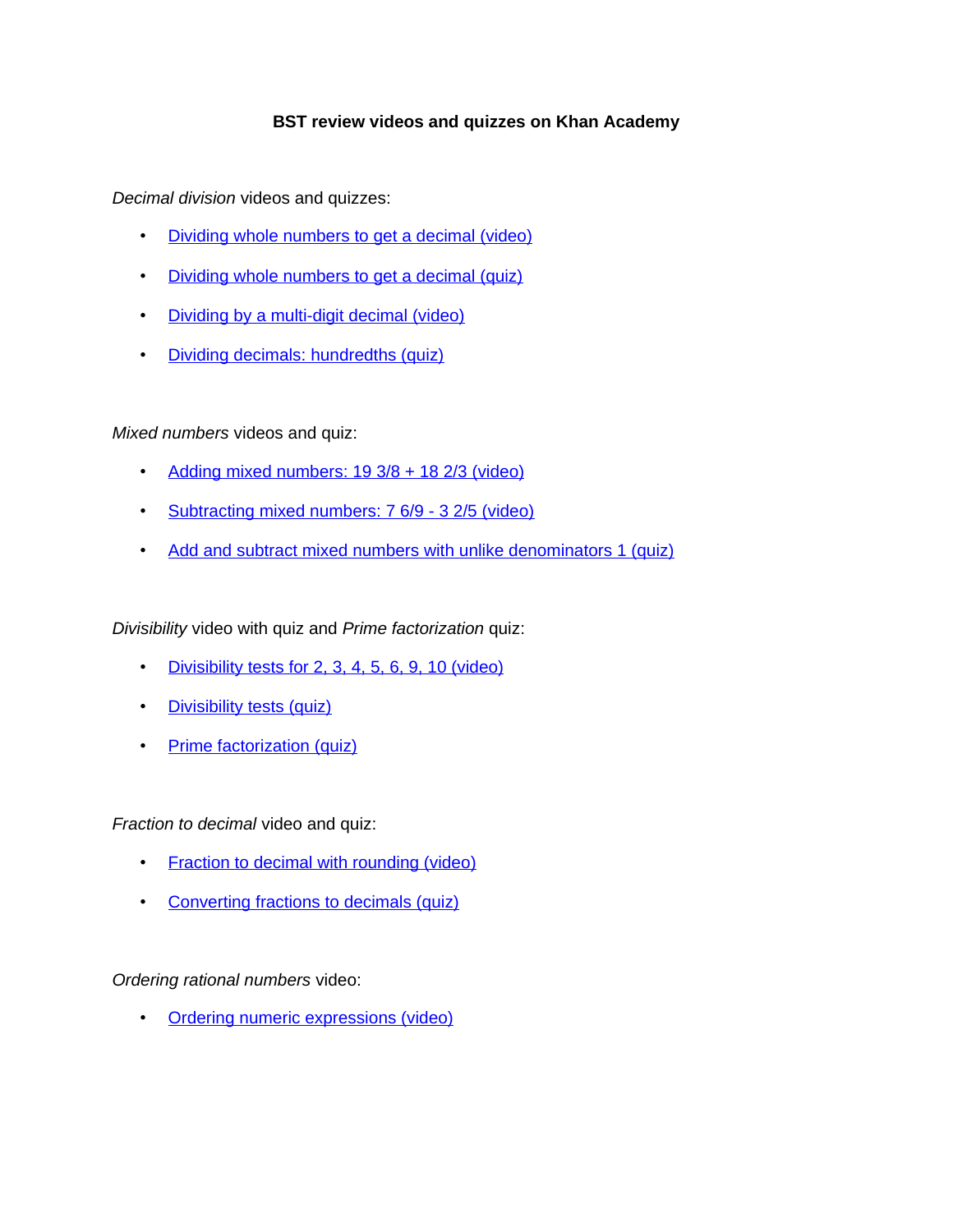## **BST review videos and quizzes on Khan Academy**

*Decimal division* videos and quizzes:

- [Dividing whole numbers to get a decimal \(video\)](https://www.khanacademy.org/math/arithmetic/decimals/dividing_decimals/v/dividing-completely-to-get-decimal-answer)
- [Dividing whole numbers to get a decimal \(quiz\)](https://www.khanacademy.org/math/arithmetic/decimals/dividing_decimals/e/dividing_decimals_0.5)
- [Dividing by a multi-digit decimal \(video\)](https://www.khanacademy.org/math/arithmetic/decimals/dividing_decimals/v/dividing-decimals)
- [Dividing decimals: hundredths \(quiz\)](https://www.khanacademy.org/math/arithmetic/decimals/dividing_decimals/e/dividing_decimals_3)

*Mixed numbers* videos and quiz:

- Adding mixed numbers:  $19\frac{3}{8}$  +  $18\frac{2}{3}$  (video)
- [Subtracting mixed numbers: 7 6/9 3 2/5 \(video\)](https://www.khanacademy.org/math/pre-algebra/fractions-pre-alg/mixed-number-add-sub-pre-alg/v/adding-subtracting-mixed-numbers-1-ex-2)
- [Add and subtract mixed numbers with unlike denominators 1 \(quiz\)](https://www.khanacademy.org/math/pre-algebra/fractions-pre-alg/mixed-number-add-sub-pre-alg/e/adding_subtracting_mixed_numbers_1)

*Divisibility* video with quiz and *Prime factorization* quiz:

- [Divisibility tests for 2, 3, 4, 5, 6, 9, 10 \(video\)](https://www.khanacademy.org/math/pre-algebra/factors-multiples/divisibility_tests/v/divisibility-tests-for-2-3-4-5-6-9-10)
- [Divisibility tests \(quiz\)](https://www.khanacademy.org/math/pre-algebra/factors-multiples/divisibility_tests/e/divisibility_tests)
- [Prime factorization \(quiz\)](https://www.khanacademy.org/math/in-sixth-grade-math/playing-numbers/prime-factorization/e/prime_factorization)

*Fraction to decimal* video and quiz:

- [Fraction to decimal with rounding \(video\)](https://www.khanacademy.org/math/pre-algebra/fractions-pre-alg/decimals-fractions-pre-alg/v/converting-fractions-to-decimals-ex1)
- [Converting fractions to decimals \(quiz\)](https://www.khanacademy.org/math/pre-algebra/fractions-pre-alg/decimals-fractions-pre-alg/e/converting_fractions_to_decimals)

*Ordering rational numbers* video:

**[Ordering numeric expressions \(video\)](https://www.khanacademy.org/math/arithmetic/decimals/percent-tutorial/v/ordering-numeric-expressions_dup_3)**